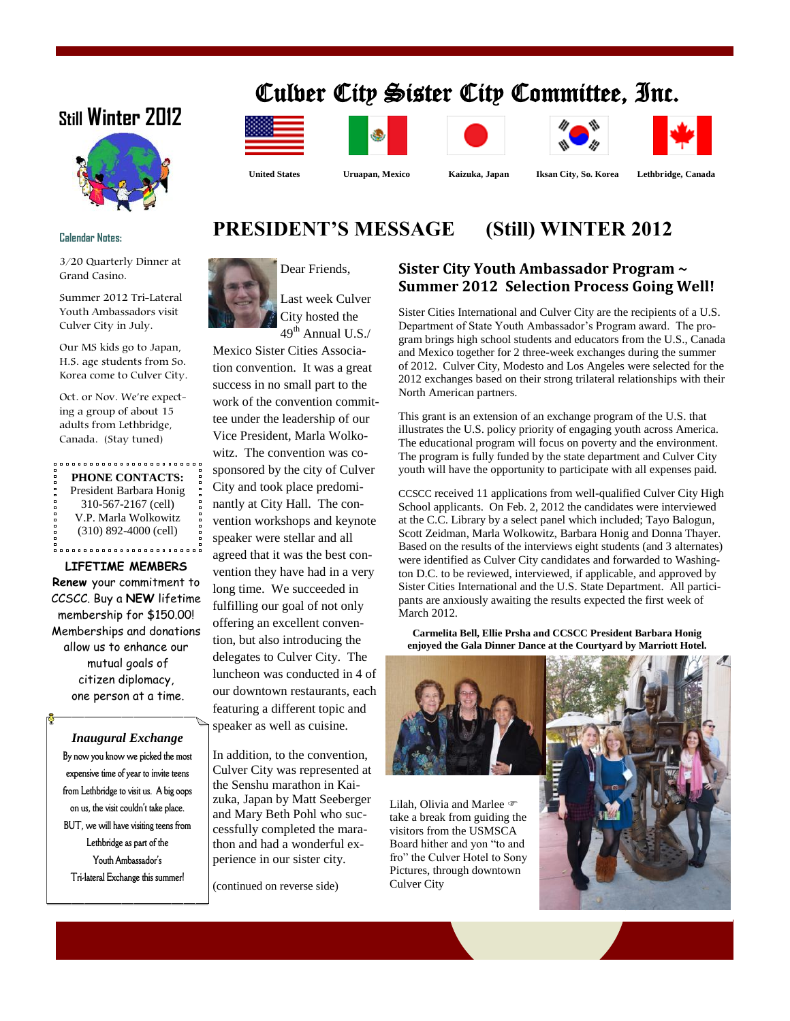# Culver City Sister City Committee, Inc.



## **Calendar Notes:**

3/20 Quarterly Dinner at Grand Casino.

Summer 2012 Tri-Lateral Youth Ambassadors visit Culver City in July.

Our MS kids go to Japan, H.S. age students from So. Korea come to Culver City.

Oct. or Nov. We're expecting a group of about 15 adults from Lethbridge, Canada. (Stay tuned)

#### **PHONE CONTACTS:**

President Barbara Honig 310-567-2167 (cell) V.P. Marla Wolkowitz (310) 892-4000 (cell)

**LIFETIME MEMBERS**

**Renew** your commitment to CCSCC. Buy a **NEW** lifetime membership for \$150.00! Memberships and donations allow us to enhance our mutual goals of citizen diplomacy, one person at a time.

## *Inaugural Exchange*

**By now you know we picked the most expensive time of year to invite teens from Lethbridge to visit us. A big oops on us, the visit couldn't take place. BUT, we will have visiting teens from Lethbridge as part of the Youth Ambassador's Tri-lateral Exchange this summer!**







North American partners.







 **United States Uruapan, Mexico Kaizuka, Japan Iksan City, So. Korea Lethbridge, Canada**

## **PRESIDENT'S MESSAGE (Still) WINTER 2012**



Last week Culver City hosted the  $49<sup>th</sup>$  Annual U.S./

Mexico Sister Cities Association convention. It was a great success in no small part to the work of the convention committee under the leadership of our Vice President, Marla Wolkowitz. The convention was cosponsored by the city of Culver City and took place predominantly at City Hall. The convention workshops and keynote speaker were stellar and all agreed that it was the best convention they have had in a very long time. We succeeded in fulfilling our goal of not only offering an excellent convention, but also introducing the delegates to Culver City. The luncheon was conducted in 4 of our downtown restaurants, each featuring a different topic and speaker as well as cuisine.

In addition, to the convention, Culver City was represented at the Senshu marathon in Kaizuka, Japan by Matt Seeberger and Mary Beth Pohl who successfully completed the marathon and had a wonderful experience in our sister city.

(continued on reverse side)

# **Sister City Youth Ambassador Program ~**

**Summer 2012 Selection Process Going Well!** Sister Cities International and Culver City are the recipients of a U.S. Department of State Youth Ambassador's Program award. The program brings high school students and educators from the U.S., Canada and Mexico together for 2 three-week exchanges during the summer of 2012. Culver City, Modesto and Los Angeles were selected for the 2012 exchanges based on their strong trilateral relationships with their

This grant is an extension of an exchange program of the U.S. that illustrates the U.S. policy priority of engaging youth across America. The educational program will focus on poverty and the environment. The program is fully funded by the state department and Culver City youth will have the opportunity to participate with all expenses paid.

CCSCC received 11 applications from well-qualified Culver City High School applicants. On Feb. 2, 2012 the candidates were interviewed at the C.C. Library by a select panel which included; Tayo Balogun, Scott Zeidman, Marla Wolkowitz, Barbara Honig and Donna Thayer. Based on the results of the interviews eight students (and 3 alternates) were identified as Culver City candidates and forwarded to Washington D.C. to be reviewed, interviewed, if applicable, and approved by Sister Cities International and the U.S. State Department. All participants are anxiously awaiting the results expected the first week of March 2012.

**Carmelita Bell, Ellie Prsha and CCSCC President Barbara Honig enjoyed the Gala Dinner Dance at the Courtyard by Marriott Hotel.**



Lilah, Olivia and Marlee take a break from guiding the visitors from the USMSCA Board hither and yon "to and fro" the Culver Hotel to Sony Pictures, through downtown Culver City